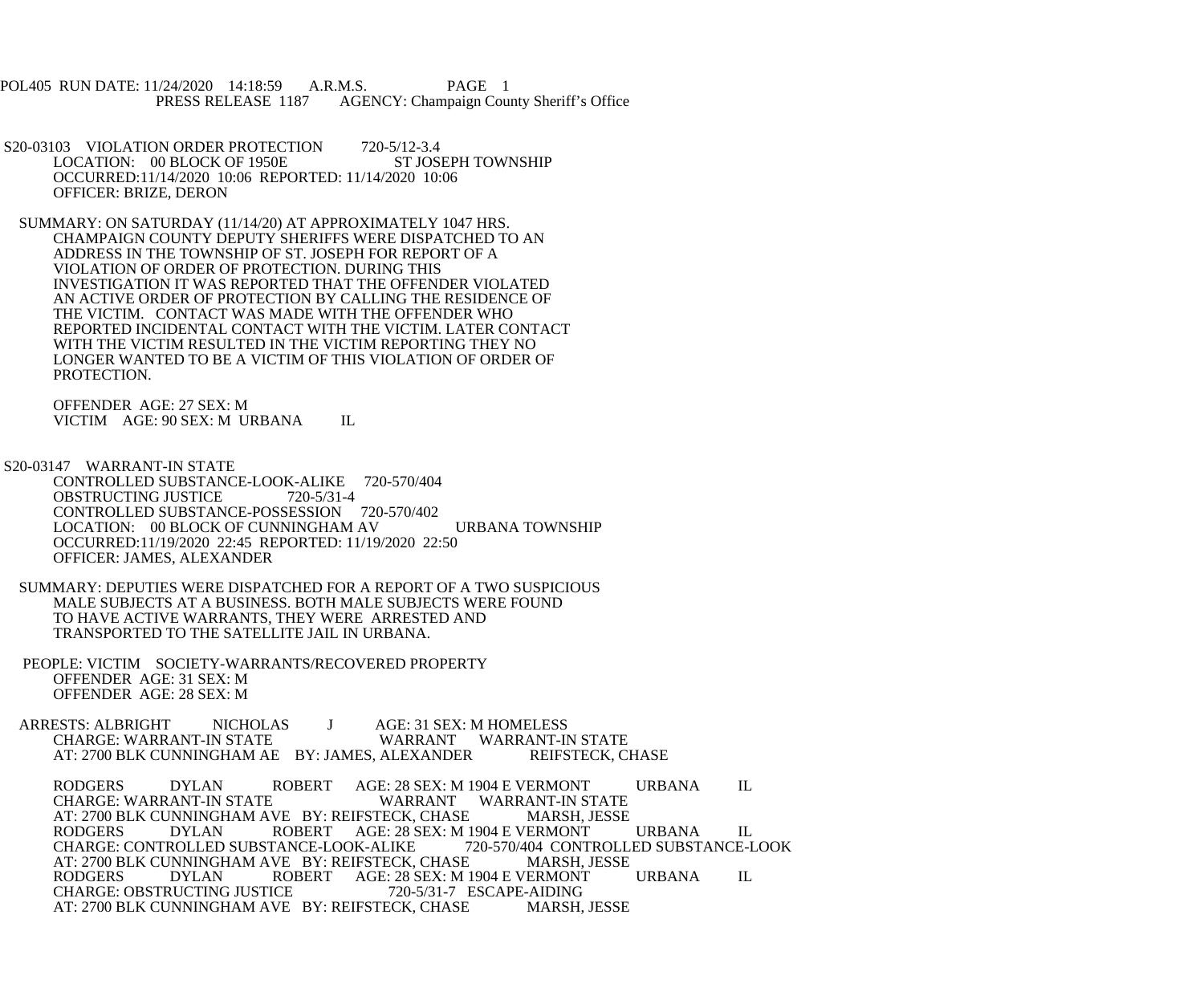POL405 RUN DATE: 11/24/2020 14:18:59 A.R.M.S. PAGE 1<br>PRESS RELEASE 1187 AGENCY: Champaign Cou AGENCY: Champaign County Sheriff's Office

S20-03103 VIOLATION ORDER PROTECTION 720-5/12-3.4<br>LOCATION: 00 BLOCK OF 1950E ST JOSEPH TOWNSHIP LOCATION: 00 BLOCK OF 1950E OCCURRED:11/14/2020 10:06 REPORTED: 11/14/2020 10:06 OFFICER: BRIZE, DERON

 SUMMARY: ON SATURDAY (11/14/20) AT APPROXIMATELY 1047 HRS. CHAMPAIGN COUNTY DEPUTY SHERIFFS WERE DISPATCHED TO AN ADDRESS IN THE TOWNSHIP OF ST. JOSEPH FOR REPORT OF A VIOLATION OF ORDER OF PROTECTION. DURING THIS INVESTIGATION IT WAS REPORTED THAT THE OFFENDER VIOLATED AN ACTIVE ORDER OF PROTECTION BY CALLING THE RESIDENCE OF THE VICTIM. CONTACT WAS MADE WITH THE OFFENDER WHO REPORTED INCIDENTAL CONTACT WITH THE VICTIM. LATER CONTACT WITH THE VICTIM RESULTED IN THE VICTIM REPORTING THEY NO LONGER WANTED TO BE A VICTIM OF THIS VIOLATION OF ORDER OF PROTECTION.

 OFFENDER AGE: 27 SEX: M VICTIM AGE: 90 SEX: M URBANA IL

 S20-03147 WARRANT-IN STATE CONTROLLED SUBSTANCE-LOOK-ALIKE 720-570/404<br>OBSTRUCTING JUSTICE 720-5/31-4 OBSTRUCTING JUSTICE CONTROLLED SUBSTANCE-POSSESSION 720-570/402 LOCATION: 00 BLOCK OF CUNNINGHAM AV URBANA TOWNSHIP OCCURRED:11/19/2020 22:45 REPORTED: 11/19/2020 22:50 OFFICER: JAMES, ALEXANDER

 SUMMARY: DEPUTIES WERE DISPATCHED FOR A REPORT OF A TWO SUSPICIOUS MALE SUBJECTS AT A BUSINESS. BOTH MALE SUBJECTS WERE FOUND TO HAVE ACTIVE WARRANTS, THEY WERE ARRESTED AND TRANSPORTED TO THE SATELLITE JAIL IN URBANA.

 PEOPLE: VICTIM SOCIETY-WARRANTS/RECOVERED PROPERTY OFFENDER AGE: 31 SEX: M OFFENDER AGE: 28 SEX: M

ARRESTS: ALBRIGHT NICHOLAS J AGE: 31 SEX: M HOMELESS<br>CHARGE: WARRANT-IN STATE WARRANT WARRANT-II WARRANT WARRANT-IN STATE<br>ALEXANDER REIFSTECK. CHASE AT: 2700 BLK CUNNINGHAM AE BY: JAMES, ALEXANDER

RODGERS DYLAN ROBERT AGE: 28 SEX: M 1904 E VERMONT URBANA IL CHARGE: WARRANT-IN STATE WARRANT WARRANT-IN STATE<br>TECK. CHASE MARSH. JESSE AT: 2700 BLK CUNNINGHAM AVE BY: REIFSTECK, CHASE RODGERS DYLAN ROBERT AGE: 28 SEX: M J ROBERT AGE: 28 SEX: M 1904 E VERMONT URBANA IL<br>TANCE-LOOK-ALIKE 720-570/404 CONTROLLED SUBSTANCE-LOOK CHARGE: CONTROLLED SUBSTANCE-LOOK-ALIKE 720-570/404 CONTROLL<br>AT: 2700 BLK CUNNINGHAM AVE BY: REIFSTECK. CHASE MARSH. JESSE AT: 2700 BLK CUNNINGHAM AVE BY: REIFSTECK, CHASE RODGERS DYLAN ROBERT AGE: 28 SEX: M 1 ROBERT AGE: 28 SEX: M 1904 E VERMONT URBANA IL<br>ICE 720-5/31-7 ESCAPE-AIDING CHARGE: OBSTRUCTING JUSTICE AT: 2700 BLK CUNNINGHAM AVE BY: REIFSTECK, CHASE MARSH, JESSE